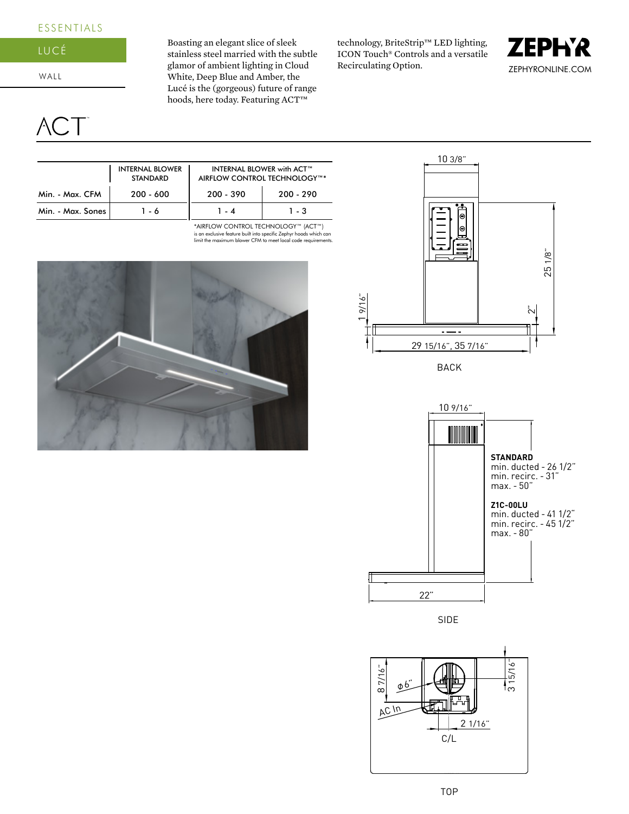## **ESSENTIALS**



WALL

个(\_\_

Boasting an elegant slice of sleek stainless steel married with the subtle glamor of ambient lighting in Cloud White, Deep Blue and Amber, the Lucé is the (gorgeous) future of range hoods, here today. Featuring ACT<sup>™</sup>

technology, BriteStrip™ LED lighting, ICON Touch® Controls and a versatile Recirculating Option.



|                   | <b>INTERNAL BLOWER</b><br><b>STANDARD</b> | <b>INTERNAL BLOWER with ACT™</b><br>AIRFLOW CONTROL TECHNOLOGY™* |             |  |
|-------------------|-------------------------------------------|------------------------------------------------------------------|-------------|--|
| Min. - Max. CFM   | $200 - 600$                               | $200 - 390$                                                      | $200 - 290$ |  |
| Min. - Max. Sones | 16                                        | 1.4                                                              | $1 - 3$     |  |

is an exclusive feature built into specific Zephyr hoods which can limit the maximum blower CFM to meet local code requirements. \*AIRFLOW CONTROL TECHNOLOGY™ (ACT™)







SIDE